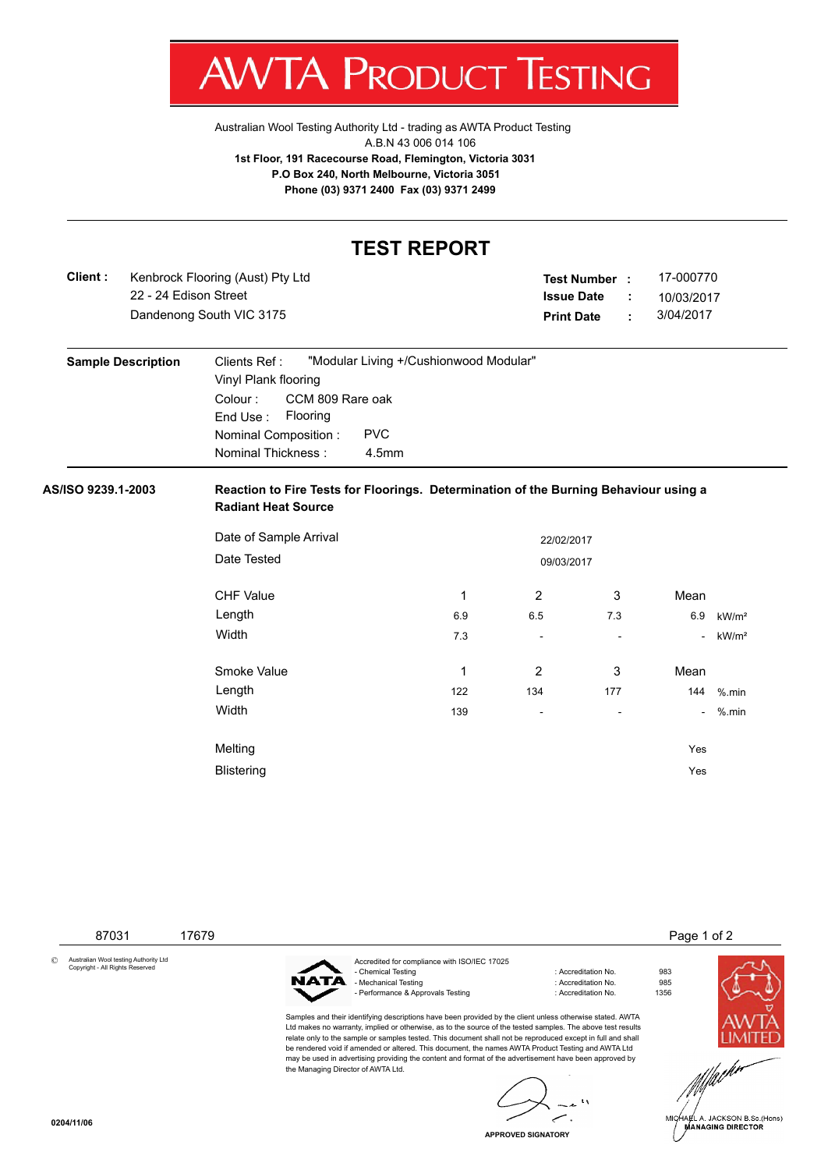

[Australian Wool Testing Authority Ltd - trading as AWTA Product Testing](http://www.awtaproducttesting.com.au/) A.B.N 43 006 014 106 **1st Floor, 191 Racecourse Road, Flemington, Victoria 3031 P.O Box 240, North Melbourne, Victoria 3051 Phone (03) 9371 2400 Fax (03) 9371 2499**

## **TEST REPORT**

**Client :** 22 - 24 Edison Street **Dandenong South VIC 3175** Kenbrock Flooring (Aust) Pty Ltd

| <b>Test Number</b> |   | 17-000770  |
|--------------------|---|------------|
| <b>Issue Date</b>  |   | 10/03/2017 |
| <b>Print Date</b>  | ٠ | 3/04/2017  |

| <b>Sample Description</b> | "Modular Living +/Cushionwood Modular"<br>Clients Ref :<br>Vinyl Plank flooring |
|---------------------------|---------------------------------------------------------------------------------|
|                           | CCM 809 Rare oak<br>Colour :<br>Flooring<br>End Use:                            |
|                           | <b>PVC</b><br>Nominal Composition:<br>Nominal Thickness:<br>4.5mm               |

## **AS/ISO 9239.1-2003 Reaction to Fire Tests for Floorings. Determination of the Burning Behaviour using a Radiant Heat Source**

| Date of Sample Arrival | 22/02/2017 |                |     |                |                   |  |
|------------------------|------------|----------------|-----|----------------|-------------------|--|
| Date Tested            |            | 09/03/2017     |     |                |                   |  |
| <b>CHF Value</b>       | 1          | $\overline{2}$ | 3   | Mean           |                   |  |
| Length                 | 6.9        | 6.5            | 7.3 | 6.9            | kW/m <sup>2</sup> |  |
| <b>Width</b>           | 7.3        | ٠              | ٠   | $\sim$         | kW/m <sup>2</sup> |  |
| Smoke Value            | 1          | 2              | 3   | Mean           |                   |  |
| Length                 | 122        | 134            | 177 | 144            | $%$ .min          |  |
| Width                  | 139        | ۰              | ۰   | $\blacksquare$ | $%$ .min          |  |
| Melting                |            |                |     | Yes            |                   |  |
| <b>Blistering</b>      |            |                |     | Yes            |                   |  |



A. JACKSON B.Sc.(Hons) **MANAGING DIRECTOR** 



**APPROVED SIGNATORY**